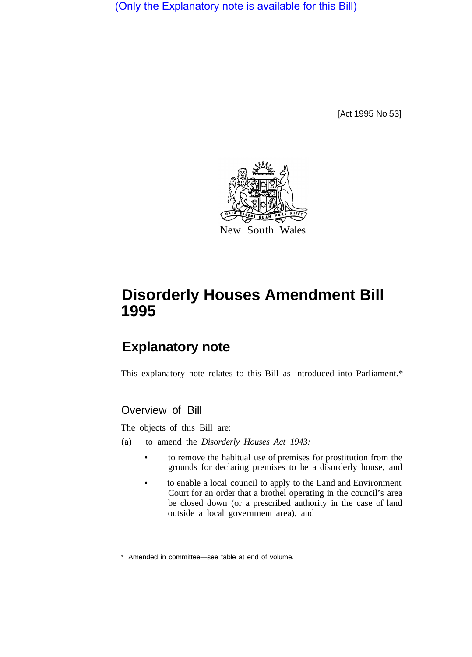(Only the Explanatory note is available for this Bill)

[Act 1995 No 53]



# **Disorderly Houses Amendment Bill 1995**

## **Explanatory note**

This explanatory note relates to this Bill as introduced into Parliament.\*

### Overview of Bill

The objects of this Bill are:

- (a) to amend the *Disorderly Houses Act 1943:* 
	- to remove the habitual use of premises for prostitution from the grounds for declaring premises to be a disorderly house, and
	- to enable a local council to apply to the Land and Environment Court for an order that a brothel operating in the council's area be closed down (or a prescribed authority in the case of land outside a local government area), and

<sup>\*</sup> Amended in committee—see table at end of volume.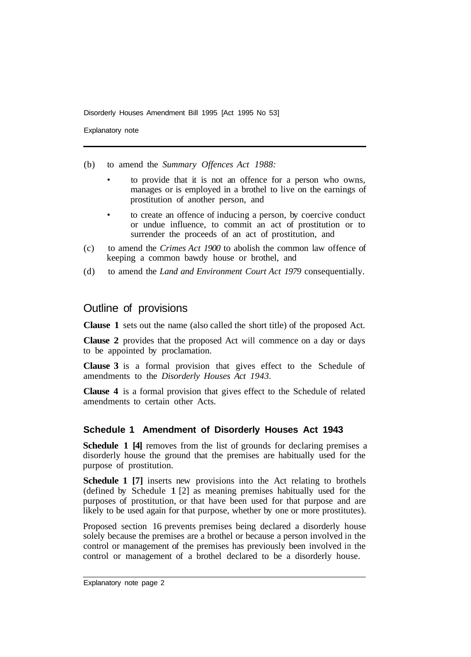Disorderly Houses Amendment Bill 1995 [Act 1995 No 53]

Explanatory note

(b) to amend the *Summary Offences Act 1988:* 

- to provide that it is not an offence for a person who owns, manages or is employed in a brothel to live on the earnings of prostitution of another person, and
- to create an offence of inducing a person, by coercive conduct or undue influence, to commit an act of prostitution or to surrender the proceeds of an act of prostitution, and
- (c) to amend the *Crimes Act 1900* to abolish the common law offence of keeping a common bawdy house or brothel, and
- (d) to amend the *Land and Environment Court Act 1979* consequentially.

#### Outline of provisions

**Clause 1** sets out the name (also called the short title) of the proposed Act.

**Clause 2** provides that the proposed Act will commence on a day or days to be appointed by proclamation.

**Clause 3** is a formal provision that gives effect to the Schedule of amendments to the *Disorderly Houses Act 1943.* 

**Clause 4** is a formal provision that gives effect to the Schedule of related amendments to certain other Acts.

#### **Schedule 1 Amendment of Disorderly Houses Act 1943**

**Schedule 1 [4]** removes from the list of grounds for declaring premises a disorderly house the ground that the premises are habitually used for the purpose of prostitution.

**Schedule 1 [7]** inserts new provisions into the Act relating to brothels (defined by Schedule 1 [2] as meaning premises habitually used for the purposes of prostitution, or that have been used for that purpose and are likely to be used again for that purpose, whether by one or more prostitutes).

Proposed section 16 prevents premises being declared a disorderly house solely because the premises are a brothel or because a person involved in the control or management of the premises has previously been involved in the control or management of a brothel declared to be a disorderly house.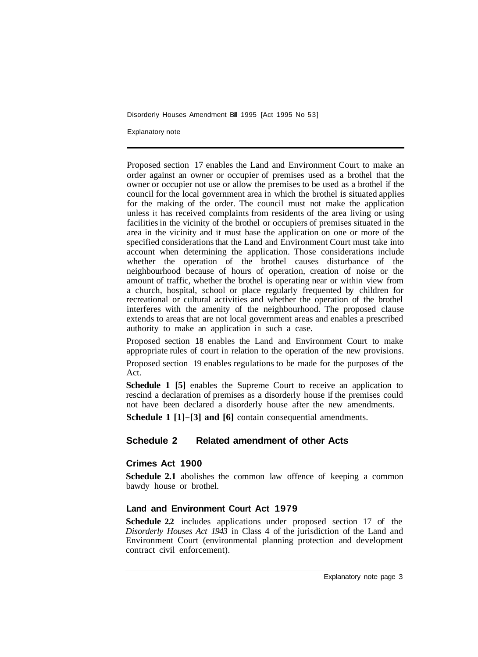Disorderly Houses Amendment Bill 1995 [Act 1995 No 53]

Explanatory note

Proposed section 17 enables the Land and Environment Court to make an order against an owner or occupier of premises used as a brothel that the owner or occupier not use or allow the premises to be used as a brothel if the council for the local government area in which the brothel is situated applies for the making of the order. The council must not make the application unless it has received complaints from residents of the area living or using facilities in the vicinity of the brothel or occupiers of premises situated in the area in the vicinity and it must base the application on one or more of the specified considerations that the Land and Environment Court must take into account when determining the application. Those considerations include whether the operation of the brothel causes disturbance of the neighbourhood because of hours of operation, creation of noise or the amount of traffic, whether the brothel is operating near or within view from a church, hospital, school or place regularly frequented by children for recreational or cultural activities and whether the operation of the brothel interferes with the amenity of the neighbourhood. The proposed clause extends to areas that are not local government areas and enables a prescribed authority to make an application in such a case.

Proposed section 18 enables the Land and Environment Court to make appropriate rules of court in relation to the operation of the new provisions.

Proposed section 19 enables regulations to be made for the purposes of the Act.

**Schedule 1 [5]** enables the Supreme Court to receive an application to rescind a declaration of premises as a disorderly house if the premises could not have been declared a disorderly house after the new amendments.

**Schedule 1 [1]-[3] and [6]** contain consequential amendments.

#### **Schedule 2 Related amendment of other Acts**

#### **Crimes Act 1900**

**Schedule 2.1** abolishes the common law offence of keeping a common bawdy house or brothel.

#### **Land and Environment Court Act 1979**

**Schedule 2.2** includes applications under proposed section 17 of the *Disorderly Houses Act 1943* in Class 4 of the jurisdiction of the Land and Environment Court (environmental planning protection and development contract civil enforcement).